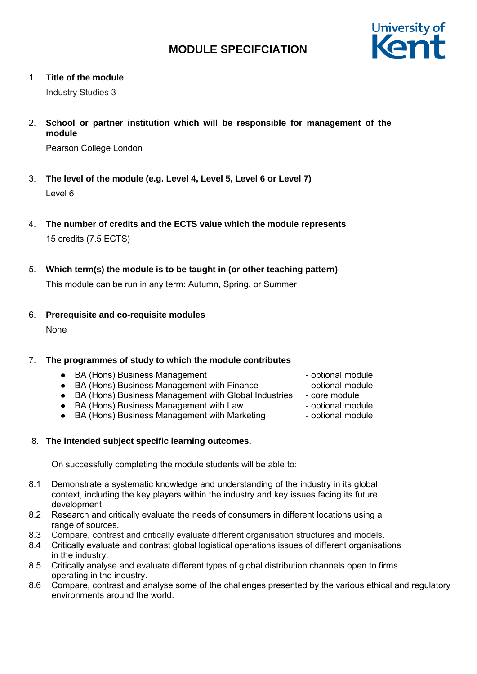

1. **Title of the module**

Industry Studies 3

2. **School or partner institution which will be responsible for management of the module**

Pearson College London

- 3. **The level of the module (e.g. Level 4, Level 5, Level 6 or Level 7)** Level 6
- 4. **The number of credits and the ECTS value which the module represents** 15 credits (7.5 ECTS)
- 5. **Which term(s) the module is to be taught in (or other teaching pattern)**

This module can be run in any term: Autumn, Spring, or Summer

6. **Prerequisite and co-requisite modules**

None

# 7. **The programmes of study to which the module contributes**

- BA (Hons) Business Management → and the optional module
- BA (Hons) Business Management with Finance optional module
- BA (Hons) Business Management with Global Industries core module
- BA (Hons) Business Management with Law optional module
- BA (Hons) Business Management with Marketing optional module
- 8. **The intended subject specific learning outcomes.**

On successfully completing the module students will be able to:

- 8.1 Demonstrate a systematic knowledge and understanding of the industry in its global context, including the key players within the industry and key issues facing its future development
- 8.2 Research and critically evaluate the needs of consumers in different locations using a range of sources.
- 8.3 Compare, contrast and critically evaluate different organisation structures and models.
- 8.4 Critically evaluate and contrast global logistical operations issues of different organisations in the industry.
- 8.5 Critically analyse and evaluate different types of global distribution channels open to firms operating in the industry.
- 8.6 Compare, contrast and analyse some of the challenges presented by the various ethical and regulatory environments around the world.
- 
- 
- 
- 
-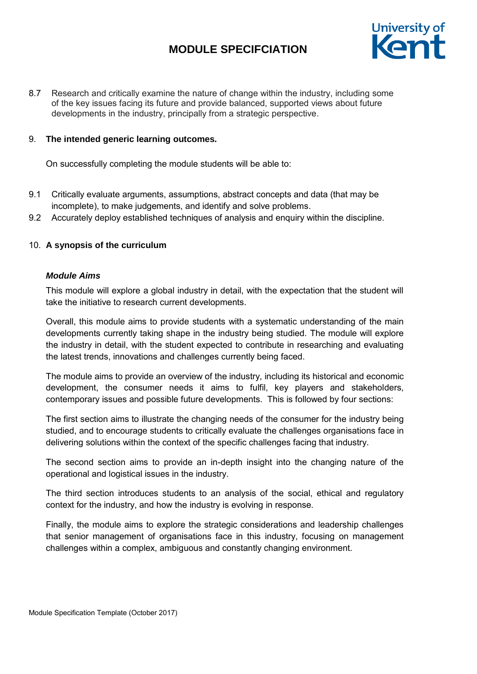

8.7 Research and critically examine the nature of change within the industry, including some of the key issues facing its future and provide balanced, supported views about future developments in the industry, principally from a strategic perspective.

## 9. **The intended generic learning outcomes.**

On successfully completing the module students will be able to:

- 9.1 Critically evaluate arguments, assumptions, abstract concepts and data (that may be incomplete), to make judgements, and identify and solve problems.
- 9.2 Accurately deploy established techniques of analysis and enquiry within the discipline.

# 10. **A synopsis of the curriculum**

#### *Module Aims*

This module will explore a global industry in detail, with the expectation that the student will take the initiative to research current developments.

Overall, this module aims to provide students with a systematic understanding of the main developments currently taking shape in the industry being studied. The module will explore the industry in detail, with the student expected to contribute in researching and evaluating the latest trends, innovations and challenges currently being faced.

The module aims to provide an overview of the industry, including its historical and economic development, the consumer needs it aims to fulfil, key players and stakeholders, contemporary issues and possible future developments. This is followed by four sections:

The first section aims to illustrate the changing needs of the consumer for the industry being studied, and to encourage students to critically evaluate the challenges organisations face in delivering solutions within the context of the specific challenges facing that industry.

The second section aims to provide an in-depth insight into the changing nature of the operational and logistical issues in the industry.

The third section introduces students to an analysis of the social, ethical and regulatory context for the industry, and how the industry is evolving in response.

Finally, the module aims to explore the strategic considerations and leadership challenges that senior management of organisations face in this industry, focusing on management challenges within a complex, ambiguous and constantly changing environment.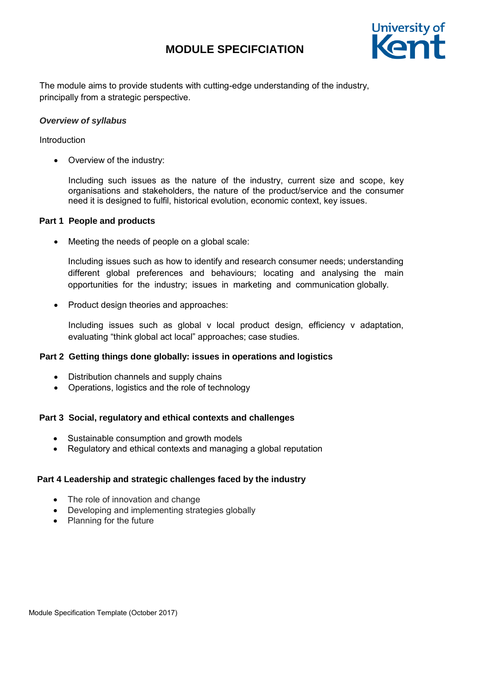

The module aims to provide students with cutting-edge understanding of the industry, principally from a strategic perspective.

## *Overview of syllabus*

### Introduction

• Overview of the industry:

Including such issues as the nature of the industry, current size and scope, key organisations and stakeholders, the nature of the product/service and the consumer need it is designed to fulfil, historical evolution, economic context, key issues.

### **Part 1 People and products**

Meeting the needs of people on a global scale:

Including issues such as how to identify and research consumer needs; understanding different global preferences and behaviours; locating and analysing the main opportunities for the industry; issues in marketing and communication globally.

• Product design theories and approaches:

Including issues such as global v local product design, efficiency v adaptation, evaluating "think global act local" approaches; case studies.

# **Part 2 Getting things done globally: issues in operations and logistics**

- Distribution channels and supply chains
- Operations, logistics and the role of technology

# **Part 3 Social, regulatory and ethical contexts and challenges**

- Sustainable consumption and growth models
- Regulatory and ethical contexts and managing a global reputation

# **Part 4 Leadership and strategic challenges faced by the industry**

- The role of innovation and change
- Developing and implementing strategies globally
- Planning for the future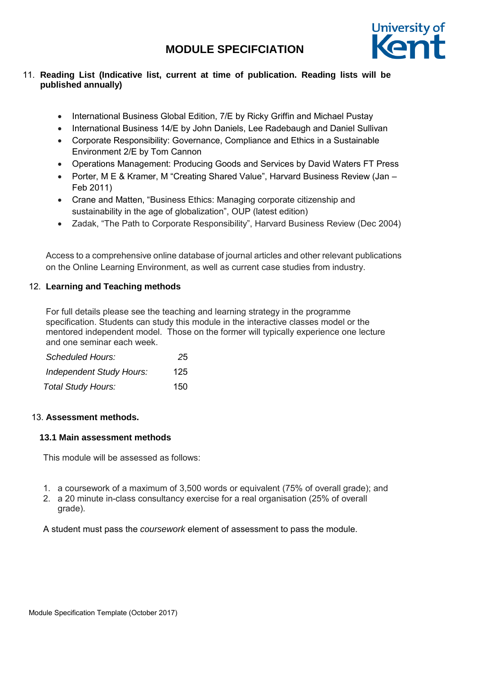

# 11. **Reading List (Indicative list, current at time of publication. Reading lists will be published annually)**

- International Business Global Edition, 7/E by Ricky Griffin and Michael Pustay
- International Business 14/E by John Daniels, Lee Radebaugh and Daniel Sullivan
- Corporate Responsibility: Governance, Compliance and Ethics in a Sustainable Environment 2/E by Tom Cannon
- Operations Management: Producing Goods and Services by David Waters FT Press
- Porter, M E & Kramer, M "Creating Shared Value", Harvard Business Review (Jan Feb 2011)
- Crane and Matten, "Business Ethics: Managing corporate citizenship and sustainability in the age of globalization", OUP (latest edition)
- Zadak, "The Path to Corporate Responsibility", Harvard Business Review (Dec 2004)

Access to a comprehensive online database of journal articles and other relevant publications on the Online Learning Environment, as well as current case studies from industry.

# 12. **Learning and Teaching methods**

For full details please see the teaching and learning strategy in the programme specification. Students can study this module in the interactive classes model or the mentored independent model. Those on the former will typically experience one lecture and one seminar each week.

| Scheduled Hours:                | 25  |
|---------------------------------|-----|
| <b>Independent Study Hours:</b> | 125 |
| <b>Total Study Hours:</b>       | 150 |

# 13. **Assessment methods.**

# **13.1 Main assessment methods**

This module will be assessed as follows:

- 1. a coursework of a maximum of 3,500 words or equivalent (75% of overall grade); and
- 2. a 20 minute in-class consultancy exercise for a real organisation (25% of overall grade).

A student must pass the *coursework* element of assessment to pass the module.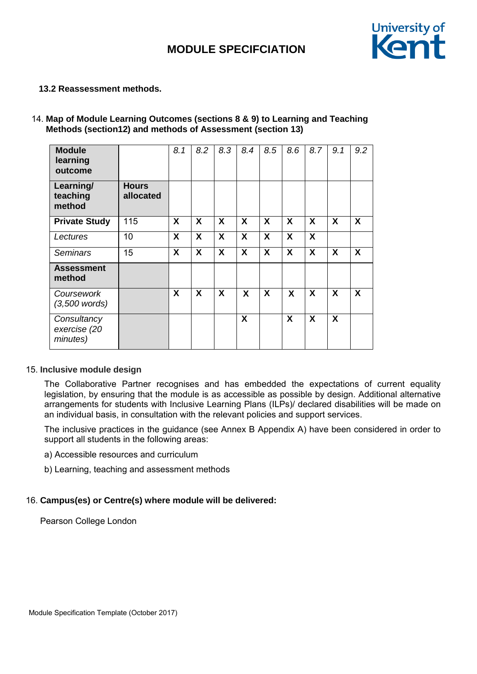

### **13.2 Reassessment methods.**

## 14. **Map of Module Learning Outcomes (sections 8 & 9) to Learning and Teaching Methods (section12) and methods of Assessment (section 13)**

| <b>Module</b><br>learning<br>outcome    |                           | 8.1                       | 8.2 | 8.3 | 8.4                       | 8.5 | 8.6                       | 8.7                       | 9.1              | 9.2              |
|-----------------------------------------|---------------------------|---------------------------|-----|-----|---------------------------|-----|---------------------------|---------------------------|------------------|------------------|
| Learning/<br>teaching<br>method         | <b>Hours</b><br>allocated |                           |     |     |                           |     |                           |                           |                  |                  |
| <b>Private Study</b>                    | 115                       | $\boldsymbol{\mathsf{X}}$ | X   | X   | $\boldsymbol{\mathsf{X}}$ | X   | $\boldsymbol{\mathsf{X}}$ | $\boldsymbol{\mathsf{x}}$ | X                | $\boldsymbol{X}$ |
| Lectures                                | 10                        | X                         | X   | X   | X                         | X   | X                         | X                         |                  |                  |
| <b>Seminars</b>                         | 15                        | X                         | X   | X   | $\boldsymbol{X}$          | X   | X                         | X                         | X                | X                |
| <b>Assessment</b><br>method             |                           |                           |     |     |                           |     |                           |                           |                  |                  |
| Coursework<br>$(3,500$ words)           |                           | X                         | X   | X   | $\boldsymbol{X}$          | X   | X                         | X                         | X                | X                |
| Consultancy<br>exercise (20<br>minutes) |                           |                           |     |     | X                         |     | X                         | X                         | $\boldsymbol{X}$ |                  |

#### 15. **Inclusive module design**

The Collaborative Partner recognises and has embedded the expectations of current equality legislation, by ensuring that the module is as accessible as possible by design. Additional alternative arrangements for students with Inclusive Learning Plans (ILPs)/ declared disabilities will be made on an individual basis, in consultation with the relevant policies and support services.

The inclusive practices in the guidance (see Annex B Appendix A) have been considered in order to support all students in the following areas:

a) Accessible resources and curriculum

b) Learning, teaching and assessment methods

# 16. **Campus(es) or Centre(s) where module will be delivered:**

Pearson College London